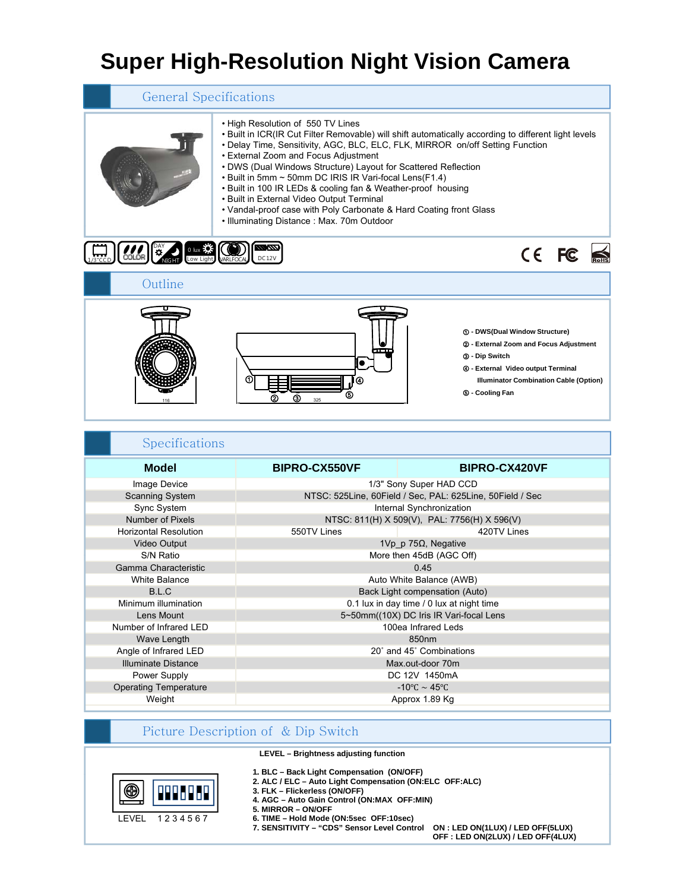# **Super High-Resolution Night Vision Camera**

| <b>General Specifications</b> |                                                                                                                                                                                                                                                                                                                                                                                                                                                                                                                                                                                                                                |  |
|-------------------------------|--------------------------------------------------------------------------------------------------------------------------------------------------------------------------------------------------------------------------------------------------------------------------------------------------------------------------------------------------------------------------------------------------------------------------------------------------------------------------------------------------------------------------------------------------------------------------------------------------------------------------------|--|
|                               | . High Resolution of 550 TV Lines<br>. Built in ICR(IR Cut Filter Removable) will shift automatically according to different light levels<br>• Delay Time, Sensitivity, AGC, BLC, ELC, FLK, MIRROR on/off Setting Function<br>• External Zoom and Focus Adjustment<br>• DWS (Dual Windows Structure) Layout for Scattered Reflection<br>. Built in 5mm ~ 50mm DC IRIS IR Vari-focal Lens(F1.4)<br>• Built in 100 IR LEDs & cooling fan & Weather-proof housing<br>• Built in External Video Output Terminal<br>• Vandal-proof case with Poly Carbonate & Hard Coating front Glass<br>• Illuminating Distance: Max. 70m Outdoor |  |

| $0$ lux $5.75$<br>$1/3$ <sup>"</sup> CCD | $\frac{1}{2}$<br>DC12V | CE FC S                                                                                                                                                                                                            |  |
|------------------------------------------|------------------------|--------------------------------------------------------------------------------------------------------------------------------------------------------------------------------------------------------------------|--|
| Outline                                  |                        |                                                                                                                                                                                                                    |  |
| 116                                      | 0<br>325               | 1 - DWS(Dual Window Structure)<br>2 - External Zoom and Focus Adjustment<br><b>3 - Dip Switch</b><br>4 - External Video output Terminal<br><b>Illuminator Combination Cable (Option)</b><br><b>6 - Cooling Fan</b> |  |

| <b>BIPRO-CX550VF</b>                                      | <b>BIPRO-CX420VF</b> |  |
|-----------------------------------------------------------|----------------------|--|
| 1/3" Sony Super HAD CCD                                   |                      |  |
| NTSC: 525Line, 60Field / Sec, PAL: 625Line, 50Field / Sec |                      |  |
| Internal Synchronization                                  |                      |  |
| NTSC: 811(H) X 509(V), PAL: 7756(H) X 596(V)              |                      |  |
| 550TV Lines                                               | 420TV Lines          |  |
| 1Vp p 75 $\Omega$ , Negative                              |                      |  |
| More then 45dB (AGC Off)                                  |                      |  |
| 0.45                                                      |                      |  |
| Auto White Balance (AWB)                                  |                      |  |
| Back Light compensation (Auto)                            |                      |  |
| 0.1 lux in day time / 0 lux at night time                 |                      |  |
| 5~50mm((10X) DC Iris IR Vari-focal Lens                   |                      |  |
| 100ea Infrared Leds                                       |                      |  |
| 850nm                                                     |                      |  |
| 20° and 45° Combinations                                  |                      |  |
| Max.out-door 70m                                          |                      |  |
| DC 12V 1450mA                                             |                      |  |
| -10°C $\sim$ 45°C                                         |                      |  |
| Approx 1.89 Kg                                            |                      |  |
|                                                           |                      |  |
|                                                           |                      |  |

## Picture Description of & Dip Switch

**LEVEL – Brightness adjusting function**



- 
- **1. BLC – Back Light Compensation (ON/OFF) 1. Back Light Compensation 2. ALC / ELC Auto Light Compensation (ON:ELC OFF:ALC)**
- **3. FLK Flickerless (ON/OFF)**
- **4. AGC Auto Gain Control (ON:MAX OFF:MIN)**
- **5. MIRROR ON/OFF**
- **6. TIME Hold Mode (ON:5sec OFF:10sec)**

**7. SENSITIVITY – "CDS" Sensor Level Control ON : LED ON(1LUX) / LED OFF(5LUX) OFF : LED ON(2LUX) / LED OFF(4LUX)**